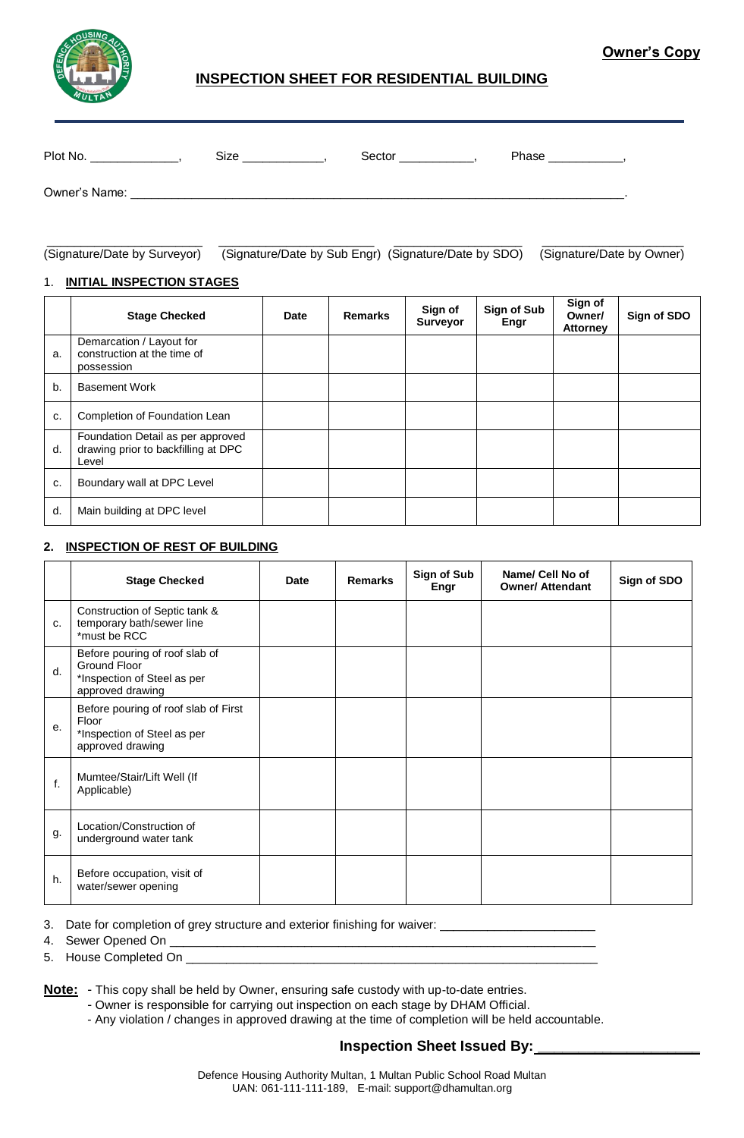

## **INSPECTION SHEET FOR RESIDENTIAL BUILDING**

| Plot No.      | Size | Sector | Phase |
|---------------|------|--------|-------|
| Owner's Name: |      |        |       |

\_\_\_\_\_\_\_\_\_\_\_\_\_\_\_\_\_\_\_\_\_\_\_ \_\_\_\_\_\_\_\_\_\_\_\_\_\_\_\_\_\_\_\_\_\_\_ \_\_\_\_\_\_\_\_\_\_\_\_\_\_\_\_\_\_\_ \_\_\_\_\_\_\_\_\_\_\_\_\_\_\_\_\_\_\_\_\_ (Signature/Date by Surveyor) (Signature/Date by Sub Engr) (Signature/Date by SDO) (Signature/Date by Owner)

#### 1. **INITIAL INSPECTION STAGES**

|    | <b>Stage Checked</b>                                                              | <b>Date</b> | Remarks | Sign of<br>Surveyor | Sign of Sub<br>Engr | Sign of<br>Owner/<br><b>Attorney</b> | Sign of SDO |
|----|-----------------------------------------------------------------------------------|-------------|---------|---------------------|---------------------|--------------------------------------|-------------|
| a. | Demarcation / Layout for<br>construction at the time of<br>possession             |             |         |                     |                     |                                      |             |
| b. | <b>Basement Work</b>                                                              |             |         |                     |                     |                                      |             |
| c. | Completion of Foundation Lean                                                     |             |         |                     |                     |                                      |             |
| d. | Foundation Detail as per approved<br>drawing prior to backfilling at DPC<br>Level |             |         |                     |                     |                                      |             |
| c. | Boundary wall at DPC Level                                                        |             |         |                     |                     |                                      |             |
| d. | Main building at DPC level                                                        |             |         |                     |                     |                                      |             |

## **2. INSPECTION OF REST OF BUILDING**

|    | <b>Stage Checked</b>                                                                              | <b>Date</b> | <b>Remarks</b> | Sign of Sub<br>Engr | Name/ Cell No of<br><b>Owner/ Attendant</b> | Sign of SDO |
|----|---------------------------------------------------------------------------------------------------|-------------|----------------|---------------------|---------------------------------------------|-------------|
| c. | Construction of Septic tank &<br>temporary bath/sewer line<br>*must be RCC                        |             |                |                     |                                             |             |
| d. | Before pouring of roof slab of<br>Ground Floor<br>*Inspection of Steel as per<br>approved drawing |             |                |                     |                                             |             |
| е. | Before pouring of roof slab of First<br>Floor<br>*Inspection of Steel as per<br>approved drawing  |             |                |                     |                                             |             |
| f. | Mumtee/Stair/Lift Well (If<br>Applicable)                                                         |             |                |                     |                                             |             |
| g. | Location/Construction of<br>underground water tank                                                |             |                |                     |                                             |             |
| h. | Before occupation, visit of<br>water/sewer opening                                                |             |                |                     |                                             |             |

3. Date for completion of grey structure and exterior finishing for waiver: \_\_\_\_\_\_\_\_\_\_

4. Sewer Opened On \_\_\_\_\_\_\_\_\_\_\_\_\_\_\_\_\_\_\_\_\_\_\_\_\_\_\_\_\_\_\_\_\_\_\_\_\_\_\_\_\_\_\_\_\_\_\_\_\_\_\_\_\_\_\_\_\_\_\_\_\_\_\_

5. House Completed On \_\_\_\_\_\_

**Note:** - This copy shall be held by Owner, ensuring safe custody with up-to-date entries.

- Owner is responsible for carrying out inspection on each stage by DHAM Official.

- Any violation / changes in approved drawing at the time of completion will be held accountable.

## **Inspection Sheet Issued By:**